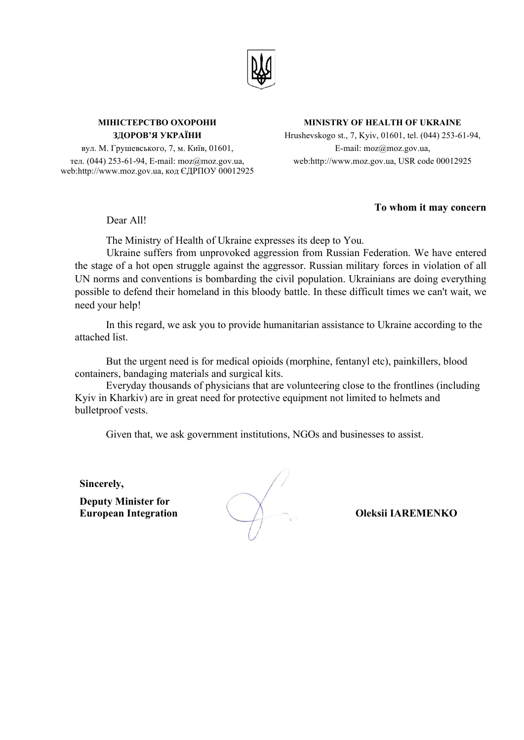

## МІНІСТЕРСТВО ОХОРОНИ ЗДОРОВ'Я УКРАЇНИ

вул. М. Грушевського, 7, м. Київ, 01601, тел. (044) 253-61-94, E-mail: moz@moz.gov.ua, web:http://www.moz.gov.ua, код ЄДРПОУ 00012925 MINISTRY OF HEALTH OF UKRAINE

Hrushevskogo st., 7, Kyiv, 01601, tel. (044) 253-61-94, E-mail: moz@moz.gov.ua, web:http://www.moz.gov.ua, USR code 00012925

## To whom it may concern

Dear All!

The Ministry of Health of Ukraine expresses its deep to You.

Ukraine suffers from unprovoked aggression from Russian Federation. We have entered the stage of a hot open struggle against the aggressor. Russian military forces in violation of all UN norms and conventions is bombarding the civil population. Ukrainians are doing everything possible to defend their homeland in this bloody battle. In these difficult times we can't wait, we need your help!

In this regard, we ask you to provide humanitarian assistance to Ukraine according to the attached list.

But the urgent need is for medical opioids (morphine, fentanyl etc), painkillers, blood containers, bandaging materials and surgical kits.

Everyday thousands of physicians that are volunteering close to the frontlines (including Kyiv in Kharkiv) are in great need for protective equipment not limited to helmets and bulletproof vests.

Given that, we ask government institutions, NGOs and businesses to assist.

Sincerely,

Deputy Minister for

European Integration (Calculate Coleksii IAREMENKO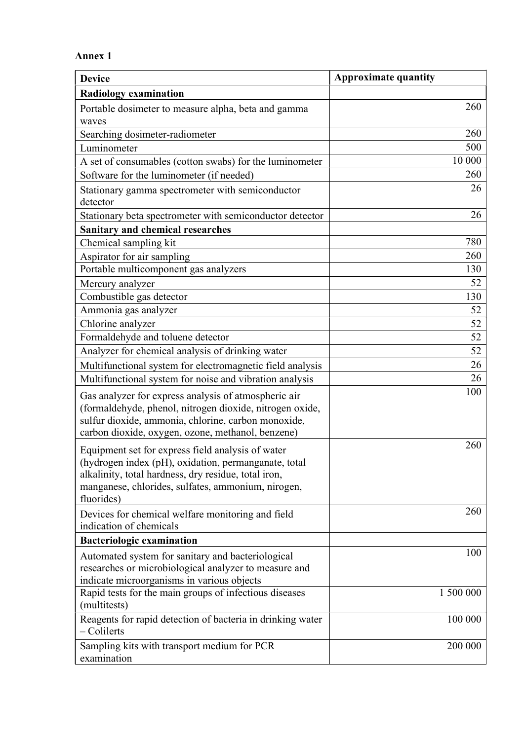Annex 1

| <b>Device</b>                                                                                                                                                                                                                | <b>Approximate quantity</b> |
|------------------------------------------------------------------------------------------------------------------------------------------------------------------------------------------------------------------------------|-----------------------------|
| <b>Radiology examination</b>                                                                                                                                                                                                 |                             |
| Portable dosimeter to measure alpha, beta and gamma<br>waves                                                                                                                                                                 | 260                         |
| Searching dosimeter-radiometer                                                                                                                                                                                               | 260                         |
| Luminometer                                                                                                                                                                                                                  | 500                         |
| A set of consumables (cotton swabs) for the luminometer                                                                                                                                                                      | 10 000                      |
| Software for the luminometer (if needed)                                                                                                                                                                                     | 260                         |
| Stationary gamma spectrometer with semiconductor<br>detector                                                                                                                                                                 | 26                          |
| Stationary beta spectrometer with semiconductor detector                                                                                                                                                                     | 26                          |
| <b>Sanitary and chemical researches</b>                                                                                                                                                                                      |                             |
| Chemical sampling kit                                                                                                                                                                                                        | 780                         |
| Aspirator for air sampling                                                                                                                                                                                                   | 260                         |
| Portable multicomponent gas analyzers                                                                                                                                                                                        | 130                         |
| Mercury analyzer                                                                                                                                                                                                             | 52                          |
| Combustible gas detector                                                                                                                                                                                                     | 130                         |
| Ammonia gas analyzer                                                                                                                                                                                                         | 52                          |
| Chlorine analyzer                                                                                                                                                                                                            | 52                          |
| Formaldehyde and toluene detector                                                                                                                                                                                            | 52                          |
| Analyzer for chemical analysis of drinking water                                                                                                                                                                             | 52                          |
| Multifunctional system for electromagnetic field analysis                                                                                                                                                                    | 26                          |
| Multifunctional system for noise and vibration analysis                                                                                                                                                                      | 26                          |
| Gas analyzer for express analysis of atmospheric air<br>(formaldehyde, phenol, nitrogen dioxide, nitrogen oxide,<br>sulfur dioxide, ammonia, chlorine, carbon monoxide,<br>carbon dioxide, oxygen, ozone, methanol, benzene) | 100                         |
| Equipment set for express field analysis of water                                                                                                                                                                            | 260                         |
| (hydrogen index (pH), oxidation, permanganate, total<br>alkalinity, total hardness, dry residue, total iron,<br>manganese, chlorides, sulfates, ammonium, nirogen,<br>fluorides)                                             |                             |
| Devices for chemical welfare monitoring and field<br>indication of chemicals                                                                                                                                                 | 260                         |
| <b>Bacteriologic examination</b>                                                                                                                                                                                             |                             |
| Automated system for sanitary and bacteriological<br>researches or microbiological analyzer to measure and<br>indicate microorganisms in various objects                                                                     | 100                         |
| Rapid tests for the main groups of infectious diseases<br>(multitests)                                                                                                                                                       | 1 500 000                   |
| Reagents for rapid detection of bacteria in drinking water<br>- Colilerts                                                                                                                                                    | 100 000                     |
| Sampling kits with transport medium for PCR<br>examination                                                                                                                                                                   | 200 000                     |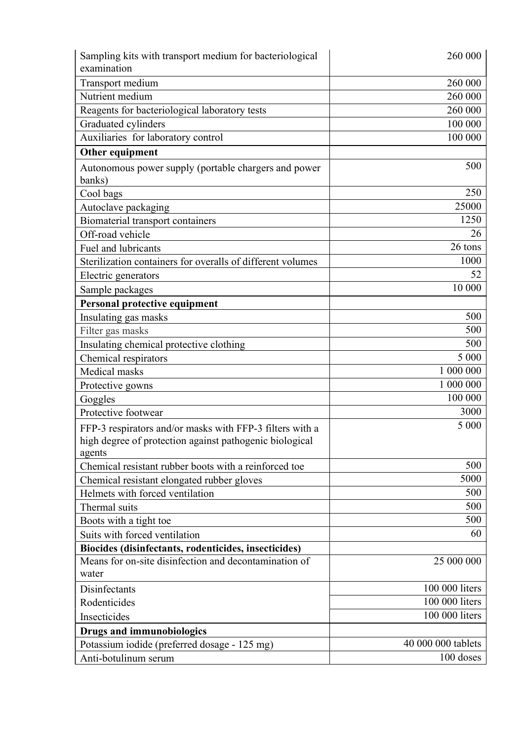| Sampling kits with transport medium for bacteriological<br>examination | 260 000            |
|------------------------------------------------------------------------|--------------------|
| Transport medium                                                       | 260 000            |
| Nutrient medium                                                        | 260 000            |
| Reagents for bacteriological laboratory tests                          | 260 000            |
| Graduated cylinders                                                    | 100 000            |
| Auxiliaries for laboratory control                                     | 100 000            |
| Other equipment                                                        |                    |
| Autonomous power supply (portable chargers and power                   | 500                |
| banks)                                                                 |                    |
| Cool bags                                                              | 250                |
| Autoclave packaging                                                    | 25000              |
| Biomaterial transport containers                                       | 1250               |
| Off-road vehicle                                                       | 26                 |
| Fuel and lubricants                                                    | 26 tons            |
| Sterilization containers for overalls of different volumes             | 1000               |
| Electric generators                                                    | 52                 |
| Sample packages                                                        | 10 000             |
| Personal protective equipment                                          |                    |
| Insulating gas masks                                                   | 500                |
| Filter gas masks                                                       | 500                |
| Insulating chemical protective clothing                                | 500                |
| Chemical respirators                                                   | 5 000              |
| Medical masks                                                          | 1 000 000          |
| Protective gowns                                                       | 1 000 000          |
| Goggles                                                                | 100 000            |
| Protective footwear                                                    | 3000               |
| FFP-3 respirators and/or masks with FFP-3 filters with a               | 5 0 0 0            |
| high degree of protection against pathogenic biological                |                    |
| agents                                                                 |                    |
| Chemical resistant rubber boots with a reinforced toe                  | 500                |
| Chemical resistant elongated rubber gloves                             | 5000               |
| Helmets with forced ventilation                                        | 500                |
| Thermal suits                                                          | 500                |
| Boots with a tight toe                                                 | 500                |
| Suits with forced ventilation                                          | 60                 |
| Biocides (disinfectants, rodenticides, insecticides)                   |                    |
| Means for on-site disinfection and decontamination of                  | 25 000 000         |
| water                                                                  |                    |
| Disinfectants                                                          | 100 000 liters     |
| Rodenticides                                                           | 100 000 liters     |
| Insecticides                                                           | 100 000 liters     |
| <b>Drugs and immunobiologics</b>                                       |                    |
| Potassium iodide (preferred dosage - 125 mg)                           | 40 000 000 tablets |
| Anti-botulinum serum                                                   | 100 doses          |